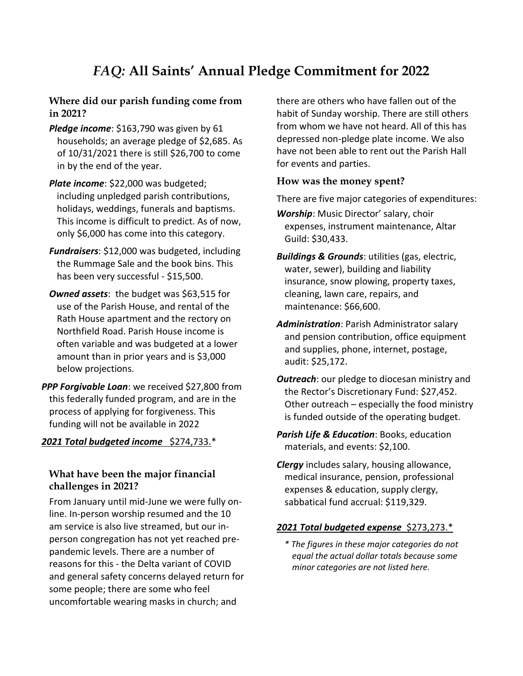# *FAQ:* **All Saints' Annual Pledge Commitment for 2022**

### **Where did our parish funding come from in 2021?**

- *Pledge income*: \$163,790 was given by 61 households; an average pledge of \$2,685. As of 10/31/2021 there is still \$26,700 to come in by the end of the year.
- *Plate income*: \$22,000 was budgeted; including unpledged parish contributions, holidays, weddings, funerals and baptisms. This income is difficult to predict. As of now, only \$6,000 has come into this category.
- *Fundraisers*: \$12,000 was budgeted, including the Rummage Sale and the book bins. This has been very successful - \$15,500.
- **Owned assets:** the budget was \$63,515 for use of the Parish House, and rental of the Rath House apartment and the rectory on Northfield Road. Parish House income is often variable and was budgeted at a lower amount than in prior years and is \$3,000 below projections.
- *PPP Forgivable Loan*: we received \$27,800 from this federally funded program, and are in the process of applying for forgiveness. This funding will not be available in 2022

#### *2021 Total budgeted income* \$274,733.\*

#### **What have been the major financial challenges in 2021?**

From January until mid-June we were fully online. In-person worship resumed and the 10 am service is also live streamed, but our inperson congregation has not yet reached prepandemic levels. There are a number of reasons for this - the Delta variant of COVID and general safety concerns delayed return for some people; there are some who feel uncomfortable wearing masks in church; and

there are others who have fallen out of the habit of Sunday worship. There are still others from whom we have not heard. All of this has depressed non-pledge plate income. We also have not been able to rent out the Parish Hall for events and parties.

#### **How was the money spent?**

There are five major categories of expenditures:

- *Worship*: Music Director' salary, choir expenses, instrument maintenance, Altar Guild: \$30,433.
- *Buildings & Grounds*: utilities (gas, electric, water, sewer), building and liability insurance, snow plowing, property taxes, cleaning, lawn care, repairs, and maintenance: \$66,600.
- *Administration*: Parish Administrator salary and pension contribution, office equipment and supplies, phone, internet, postage, audit: \$25,172.
- *Outreach*: our pledge to diocesan ministry and the Rector's Discretionary Fund: \$27,452. Other outreach – especially the food ministry is funded outside of the operating budget.
- *Parish Life & Education*: Books, education materials, and events: \$2,100.
- *Clergy* includes salary, housing allowance, medical insurance, pension, professional expenses & education, supply clergy, sabbatical fund accrual: \$119,329.

#### *2021 Total budgeted expense* \$273,273.\*

*\* The figures in these major categories do not equal the actual dollar totals because some minor categories are not listed here.*